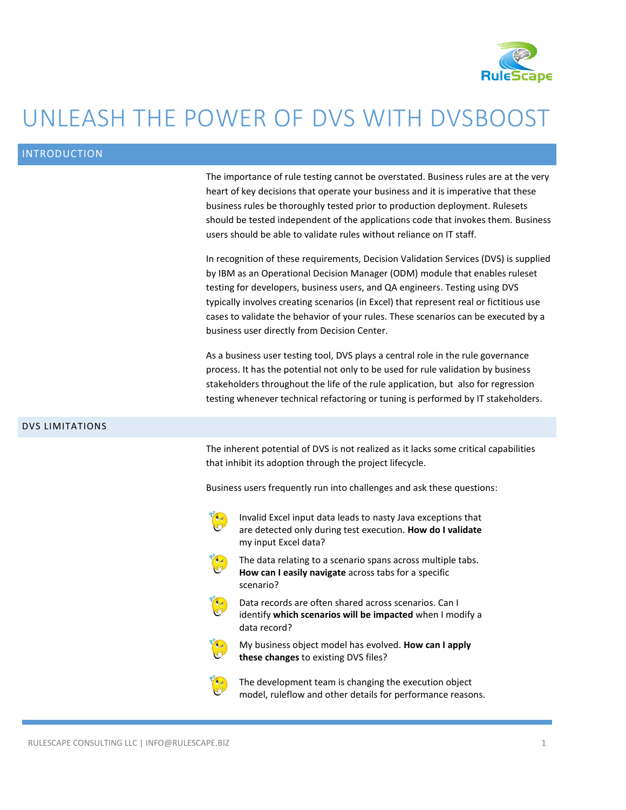

# UNLEASH THE POWER OF DVS WITH DVSBOOST

## INTRODUCTION

The importance of rule testing cannot be overstated. Business rules are at the very heart of key decisions that operate your business and it is imperative that these business rules be thoroughly tested prior to production deployment. Rulesets should be tested independent of the applications code that invokes them. Business users should be able to validate rules without reliance on IT staff.

In recognition of these requirements, Decision Validation Services (DVS) is supplied by IBM as an Operational Decision Manager (ODM) module that enables ruleset testing for developers, business users, and QA engineers. Testing using DVS typically involves creating scenarios (in Excel) that represent real or fictitious use cases to validate the behavior of your rules. These scenarios can be executed by a business user directly from Decision Center.

As a business user testing tool, DVS plays a central role in the rule governance process. It has the potential not only to be used for rule validation by business stakeholders throughout the life of the rule application, but also for regression testing whenever technical refactoring or tuning is performed by IT stakeholders.

#### DVS LIMITATIONS

The inherent potential of DVS is not realized as it lacks some critical capabilities that inhibit its adoption through the project lifecycle.

Business users frequently run into challenges and ask these questions:



Invalid Excel input data leads to nasty Java exceptions that are detected only during test execution. **How do I validate** my input Excel data?



The data relating to a scenario spans across multiple tabs. **How can I easily navigate** across tabs for a specific scenario?



Data records are often shared across scenarios. Can I identify **which scenarios will be impacted** when I modify a data record?



My business object model has evolved. **How can I apply these changes** to existing DVS files?

The development team is changing the execution object model, ruleflow and other details for performance reasons.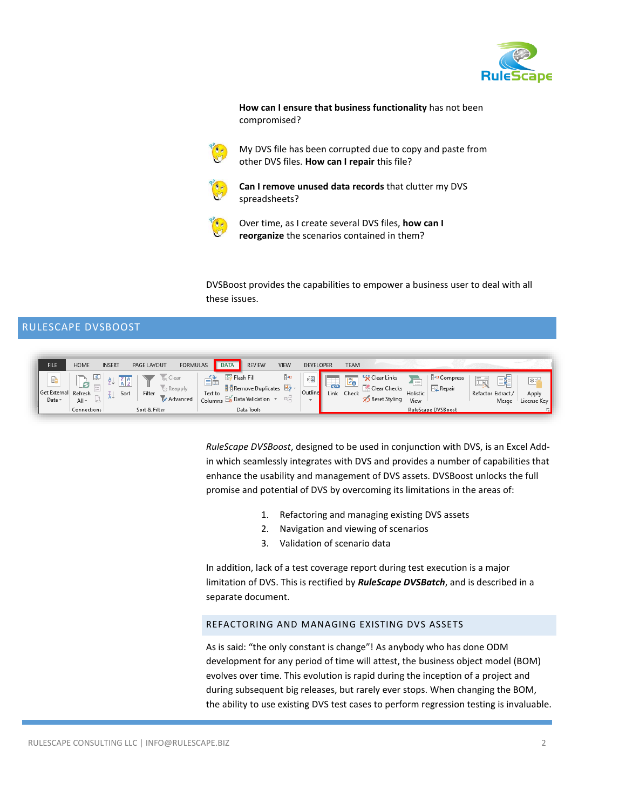

**How can I ensure that business functionality** has not been compromised?



My DVS file has been corrupted due to copy and paste from other DVS files. **How can I repair** this file?



**Can I remove unused data records** that clutter my DVS spreadsheets?



Over time, as I create several DVS files, **how can I reorganize** the scenarios contained in them?

DVSBoost provides the capabilities to empower a business user to deal with all these issues.

# RULESCAPE DVSBOOST



*RuleScape DVSBoost*, designed to be used in conjunction with DVS, is an Excel Addin which seamlessly integrates with DVS and provides a number of capabilities that enhance the usability and management of DVS assets. DVSBoost unlocks the full promise and potential of DVS by overcoming its limitations in the areas of:

- 1. Refactoring and managing existing DVS assets
- 2. Navigation and viewing of scenarios
- 3. Validation of scenario data

In addition, lack of a test coverage report during test execution is a major limitation of DVS. This is rectified by *RuleScape DVSBatch*, and is described in a separate document.

### REFACTORING AND MANAGING EXISTING DVS ASSETS

As is said: "the only constant is change"! As anybody who has done ODM development for any period of time will attest, the business object model (BOM) evolves over time. This evolution is rapid during the inception of a project and during subsequent big releases, but rarely ever stops. When changing the BOM, the ability to use existing DVS test cases to perform regression testing is invaluable.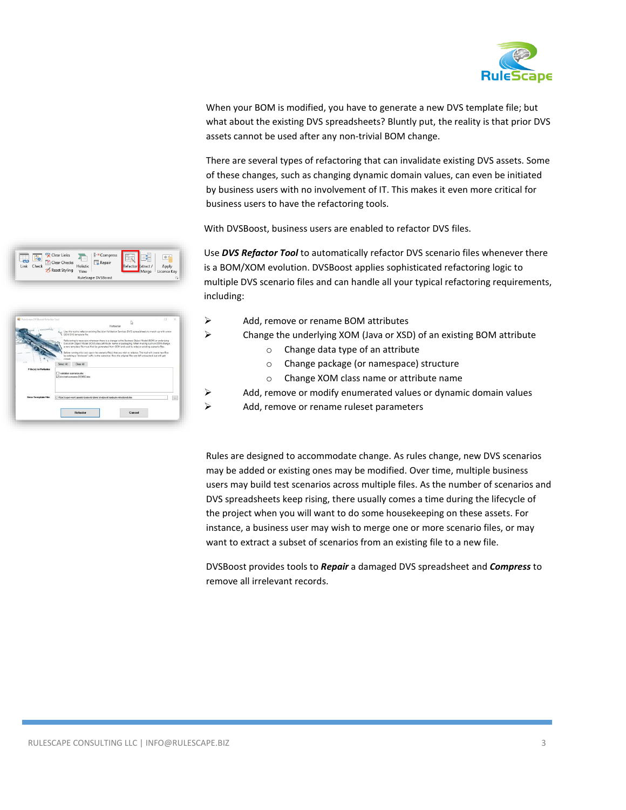

When your BOM is modified, you have to generate a new DVS template file; but what about the existing DVS spreadsheets? Bluntly put, the reality is that prior DVS assets cannot be used after any non-trivial BOM change.

There are several types of refactoring that can invalidate existing DVS assets. Some of these changes, such as changing dynamic domain values, can even be initiated by business users with no involvement of IT. This makes it even more critical for business users to have the refactoring tools.

With DVSBoost, business users are enabled to refactor DVS files.

Clear Links<br>Link Check (Clear Checks Holistic<br>
Meset Styling View E<sub>'</sub> Compre **FEL** Repai

| TaleScape DVSBorot Refactor Tool | ο                                                                                                                                                                                                                                                                                                                                                                                                                               | × |
|----------------------------------|---------------------------------------------------------------------------------------------------------------------------------------------------------------------------------------------------------------------------------------------------------------------------------------------------------------------------------------------------------------------------------------------------------------------------------|---|
|                                  | ۵<br>Refactor                                                                                                                                                                                                                                                                                                                                                                                                                   |   |
|                                  | Use this tool to refactor existing Decision Validation Services (DVS) spreadsheets to match up with a new<br>COM DVS template file.                                                                                                                                                                                                                                                                                             |   |
|                                  | Refactoring is necessary whenever there is a change to the Business Object Model (BOM) or underlying<br>Execution Object Model (XCM) class/attribute name or packaging. When making such an CDM change,<br>a new template file must first be penerated from CDM and used to refactor existing scenario files.<br>before running this tool, open the scenario file(s) that you wish to refactor. This tool will create new files |   |
| --                               | by adding a "disboost" suffix to the scenarios' files; the original files are left untouched, but will get<br>closed.<br>Clear All<br>Select All                                                                                                                                                                                                                                                                                |   |
| File(s) to Refector              |                                                                                                                                                                                                                                                                                                                                                                                                                                 |   |
|                                  | Validation scoration star<br>of dynamic scenestos DFMO2 sisc                                                                                                                                                                                                                                                                                                                                                                    |   |
| New Template File:               | C.1-Rule Screen/work/www.en/shattania/demo/shadonal/texts die-refactionst visu                                                                                                                                                                                                                                                                                                                                                  | - |
|                                  | Refactor<br>Cancel                                                                                                                                                                                                                                                                                                                                                                                                              |   |

- Use *DVS Refactor Tool* to automatically refactor DVS scenario files whenever there is a BOM/XOM evolution. DVSBoost applies sophisticated refactoring logic to multiple DVS scenario files and can handle all your typical refactoring requirements, including:
- $\triangleright$  Add, remove or rename BOM attributes
- $\triangleright$  Change the underlying XOM (Java or XSD) of an existing BOM attribute
	- o Change data type of an attribute
	- o Change package (or namespace) structure
	- o Change XOM class name or attribute name
- $\triangleright$  Add, remove or modify enumerated values or dynamic domain values
- $\triangleright$  Add, remove or rename ruleset parameters

Rules are designed to accommodate change. As rules change, new DVS scenarios may be added or existing ones may be modified. Over time, multiple business users may build test scenarios across multiple files. As the number of scenarios and DVS spreadsheets keep rising, there usually comes a time during the lifecycle of the project when you will want to do some housekeeping on these assets. For instance, a business user may wish to merge one or more scenario files, or may want to extract a subset of scenarios from an existing file to a new file.

DVSBoost provides tools to *Repair* a damaged DVS spreadsheet and *Compress* to remove all irrelevant records.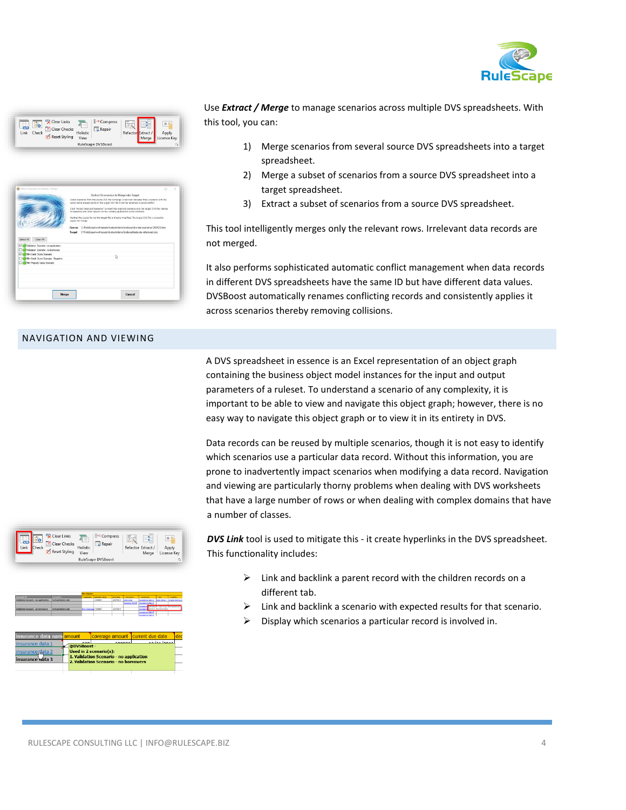

| Link | <b>Ve</b><br>Check | Clear Links<br><b>Clear Checks</b><br>Reset Styling | $\equiv$<br>Holistic<br>View | <sup>1</sup> - <sup>o</sup> Compress<br>Repair<br>E9. | w<br>Refacto | $\sim$<br>►<br>Merge | 冰雪<br>Apply<br>License Kev |
|------|--------------------|-----------------------------------------------------|------------------------------|-------------------------------------------------------|--------------|----------------------|----------------------------|
|      |                    |                                                     |                              | RuleScape DVSBoost                                    |              |                      | Fs)                        |

|                                                                         | Select Scenarios to Merge into Target                                                                                                                                                       |  |
|-------------------------------------------------------------------------|---------------------------------------------------------------------------------------------------------------------------------------------------------------------------------------------|--|
|                                                                         | Select scenarios from the source DVS file to menge. A red icon indicates that a scenario with the<br>same name already exists in the target DVS file. It will be renamed to avoid conflict. |  |
|                                                                         | Click "Extract Selected Scenarios" to insert the selected scenarios into the target DVS file. Names<br>of spenwiss and other objects will be suitably updated to avoid collisions.          |  |
|                                                                         | Neither the source file nor the tarpet file is directly modified. The target DVS file is cloned to<br>apply the merge.                                                                      |  |
|                                                                         | Source: C/RuleScapelwork/assetsid/stock/idencid/stock/d/steat scenarios DEMO2 xlax                                                                                                          |  |
|                                                                         | Target C:/RuleScape\work\assets\dvstools\demoldvsboost\testsuite-refactored.xlsx                                                                                                            |  |
| Clear All<br>Select All                                                 |                                                                                                                                                                                             |  |
| Й<br>Validation Scenario - no apolication                               |                                                                                                                                                                                             |  |
| Validation Scenado - no hormwers                                        |                                                                                                                                                                                             |  |
| Й<br>Mr. Credit Score Scenario                                          |                                                                                                                                                                                             |  |
| Min Credit Score Scenario - Negative<br>Mrs Property Visitae Scienterio |                                                                                                                                                                                             |  |
|                                                                         |                                                                                                                                                                                             |  |
|                                                                         |                                                                                                                                                                                             |  |
|                                                                         |                                                                                                                                                                                             |  |
|                                                                         |                                                                                                                                                                                             |  |
|                                                                         |                                                                                                                                                                                             |  |
| Morgo                                                                   | Cancol                                                                                                                                                                                      |  |
|                                                                         |                                                                                                                                                                                             |  |

#### NAVIGATION AND VIEWING

Use *Extract / Merge* to manage scenarios across multiple DVS spreadsheets. With this tool, you can:

- 1) Merge scenarios from several source DVS spreadsheets into a target spreadsheet.
- 2) Merge a subset of scenarios from a source DVS spreadsheet into a target spreadsheet.
- 3) Extract a subset of scenarios from a source DVS spreadsheet.

This tool intelligently merges only the relevant rows. Irrelevant data records are not merged.

It also performs sophisticated automatic conflict management when data records in different DVS spreadsheets have the same ID but have different data values. DVSBoost automatically renames conflicting records and consistently applies it across scenarios thereby removing collisions.

A DVS spreadsheet in essence is an Excel representation of an object graph containing the business object model instances for the input and output parameters of a ruleset. To understand a scenario of any complexity, it is important to be able to view and navigate this object graph; however, there is no easy way to navigate this object graph or to view it in its entirety in DVS.

Data records can be reused by multiple scenarios, though it is not easy to identify which scenarios use a particular data record. Without this information, you are prone to inadvertently impact scenarios when modifying a data record. Navigation and viewing are particularly thorny problems when dealing with DVS worksheets that have a large number of rows or when dealing with complex domains that have a number of classes.



- $\triangleright$  Link and backlink a parent record with the children records on a different tab.
- $\triangleright$  Link and backlink a scenario with expected results for that scenario.
- Display which scenarios a particular record is involved in.



|                                             |                                       |             | <b>De request</b>           |                                         |            |                      |                   |                                   |                            |
|---------------------------------------------|---------------------------------------|-------------|-----------------------------|-----------------------------------------|------------|----------------------|-------------------|-----------------------------------|----------------------------|
| <b>Clintennia</b>                           | <b><i><u><u>Insertime</u></u></i></b> |             | - application               | analization states                      | as of date | - borrowers          | a balancing       | <b>START</b>                      | - property                 |
| <b>Validation Scenario - no analization</b> | Taxt validation rate                  |             |                             | <b>COMMIT</b>                           | 3/3/3015   | <b>John Dra</b>      | maxance.data 1    |                                   | loan data 1 binala home pr |
|                                             |                                       |             |                             |                                         |            | <b>Yourman Smith</b> | Imagement Ada 2   |                                   |                            |
|                                             |                                       |             |                             |                                         |            |                      | mourand           | <b>CONTRACT CONTRACT TO MODEL</b> |                            |
| <b>Malidation Sounario - no homegawes</b>   | Taxt validation rate                  |             | <b>First mortgan COMMIT</b> |                                         | 2/2/2015   |                      | mouran            | direct in Insurance data?         |                            |
|                                             |                                       |             |                             |                                         |            |                      | mourance data 2   |                                   |                            |
|                                             |                                       |             |                             |                                         |            |                      | Importance data 2 |                                   |                            |
|                                             |                                       |             |                             |                                         |            |                      |                   |                                   |                            |
|                                             |                                       |             |                             |                                         |            |                      |                   |                                   |                            |
|                                             |                                       |             |                             |                                         |            |                      |                   |                                   |                            |
|                                             |                                       |             |                             |                                         |            |                      |                   |                                   |                            |
| insurance data namiamount                   |                                       |             |                             | coverage amount                         |            |                      | current due date  |                                   | dec                        |
|                                             |                                       |             |                             |                                         |            |                      |                   |                                   |                            |
| insurance data 1                            |                                       |             | oon.                        |                                         | 300000     |                      |                   | 12121                             |                            |
|                                             |                                       | @DVSBoost - |                             |                                         |            |                      |                   |                                   |                            |
|                                             |                                       |             |                             |                                         |            |                      |                   |                                   |                            |
|                                             |                                       |             |                             |                                         |            |                      |                   |                                   |                            |
|                                             |                                       |             |                             | Used in 2 scenario(s):                  |            |                      |                   |                                   |                            |
| <u>insurance plata 2</u>                    |                                       |             |                             |                                         |            |                      |                   |                                   |                            |
|                                             |                                       |             |                             | 1. Validation Scenario - no application |            |                      |                   |                                   |                            |
| insurance <del>uata</del> 3                 |                                       |             |                             | 2. Validation Scenario - no borrowers   |            |                      |                   |                                   |                            |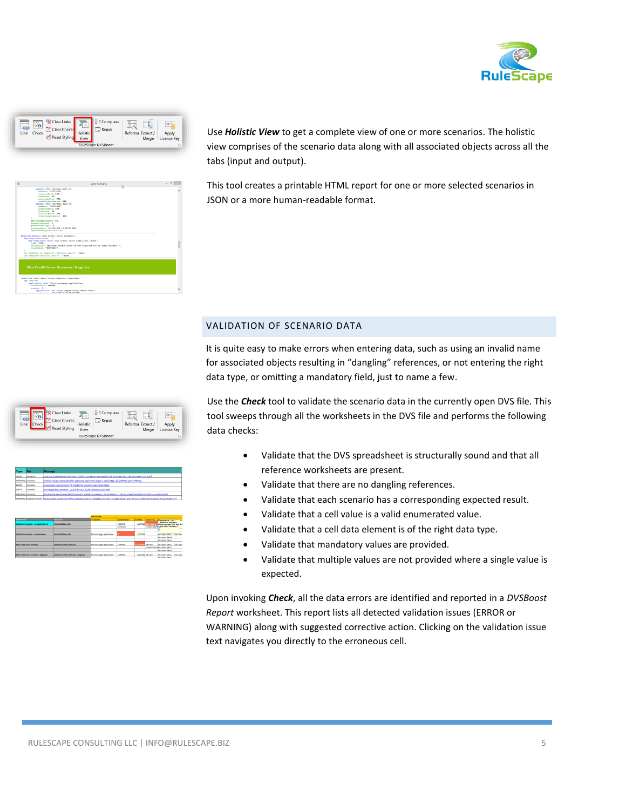



Use *Holistic View* to get a complete view of one or more scenarios. The holistic view comprises of the scenario data along with all associated objects across all the tabs (input and output).

This tool creates a printable HTML report for one or more selected scenarios in JSON or a more human-readable format.

## VALIDATION OF SCENARIO DATA

It is quite easy to make errors when entering data, such as using an invalid name for associated objects resulting in "dangling" references, or not entering the right data type, or omitting a mandatory field, just to name a few.

Use the *Check* tool to validate the scenario data in the currently open DVS file. This tool sweeps through all the worksheets in the DVS file and performs the following data checks:

- Validate that the DVS spreadsheet is structurally sound and that all reference worksheets are present.
- Validate that there are no dangling references.
- Validate that each scenario has a corresponding expected result.
- Validate that a cell value is a valid enumerated value.
- Validate that a cell data element is of the right data type.
- Validate that mandatory values are provided.
- Validate that multiple values are not provided where a single value is expected.

Upon invoking *Check*, all the data errors are identified and reported in a *DVSBoost Report* worksheet. This report lists all detected validation issues (ERROR or WARNING) along with suggested corrective action. Clicking on the validation issue text navigates you directly to the erroneous cell.

| <sup>1</sup> <sup>-0</sup> Compress<br>Clear Links<br>Ē<br>宗道<br>$\sim$<br>$\sim$<br>同 Repair<br>Clear Checks<br>Link<br>Holistic<br>Refactor Extract /<br>Apply<br>Reset Styling<br>View<br>License Key<br>Merge<br>RuleScape DVSBoost<br>履 |  |
|----------------------------------------------------------------------------------------------------------------------------------------------------------------------------------------------------------------------------------------------|--|
|----------------------------------------------------------------------------------------------------------------------------------------------------------------------------------------------------------------------------------------------|--|

data (diret<br>nt: 200800. u time etamp (application endmoit d<br>…… tin*firmis in no en s*ar

| Could not find reference 'stim Doe X' [call O5, Scenarios: bomzwers] in tab 'bomzwer data', Did you mean 'john Doe'?                   |
|----------------------------------------------------------------------------------------------------------------------------------------|
| Multiple values not expected for 'Scenarios: application stage' in cells E9.E11: E9-COMMIT, E10-APPROVE,                               |
|                                                                                                                                        |
|                                                                                                                                        |
| No Expected Results specified for spenario Validation Scenario - no application X1. Did you mean Validation Scenario - no application? |
|                                                                                                                                        |

|                                        |                                     | the request                 |                     |            |                         |                                    |                |
|----------------------------------------|-------------------------------------|-----------------------------|---------------------|------------|-------------------------|------------------------------------|----------------|
| <b>Seasanto D</b>                      | <b>Albrew</b>                       | - application               | <b>MARIA ROBERT</b> | as of Age. | <b>HAPPING</b>          | <b>AFF/Milliard - Faces</b>        |                |
| Validation Scenario - no application X | Test salidablas rate                |                             | COMMO               | 2/2/2415   | $\mathbf{r}$            | <b>Beforesce missing in</b>        | <b>HA</b>      |
|                                        |                                     |                             | ADDINTAT            |            |                         | Toeman Smittleging mean John Doc't | <b>College</b> |
|                                        |                                     |                             |                     |            |                         |                                    | b.             |
| Validation Scenario : no homewers      | <b>Tour suitable key rate</b>       | first reorigage application |                     | 2/2/2015   |                         | marance data I                     | Tiran data     |
|                                        |                                     |                             |                     |            |                         | insurance data 2                   |                |
|                                        |                                     |                             |                     |            |                         | <b>Imparence data 2</b>            |                |
| <b>Mix Cradit Some Scenario</b>        | Taxt min modif some rate            | first mortages application  | COMMIT              |            | <b>DIRIOSE</b> John Doe | <b>Importance data 1</b>           | loan data      |
|                                        |                                     |                             |                     |            |                         | Toeman SextExissionce data 2       |                |
|                                        |                                     |                             |                     |            |                         | <b>Insurance data 2</b>            |                |
| Min Credit Score Scenario - Negative   | fest pin cosft some rale - negative | first mortgage application  | COMMON              |            | 3/3/3015 John Doe       | Insurance data 1 licen data        |                |
|                                        |                                     |                             |                     |            |                         | <b>Impressor data 7</b>            |                |